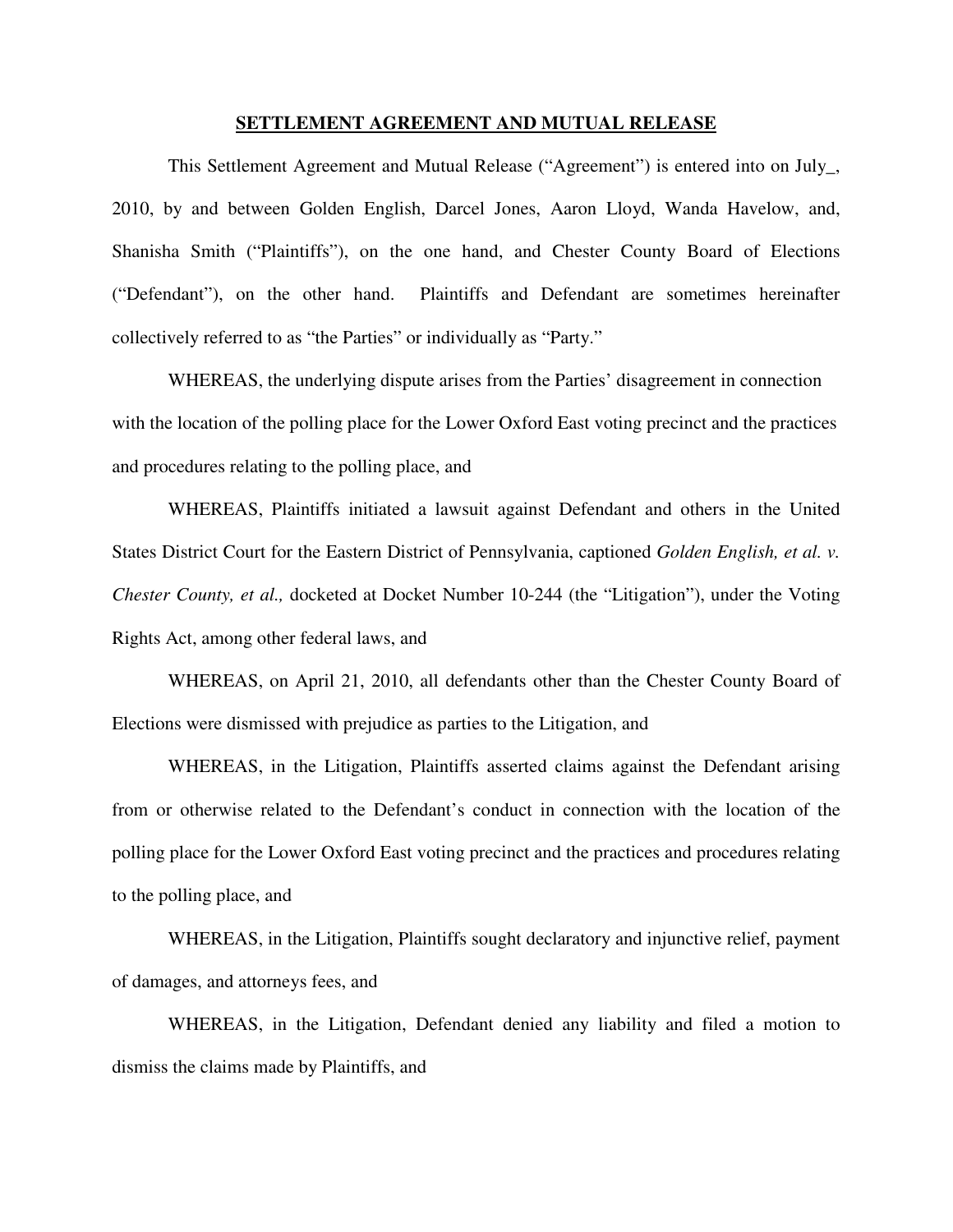## **SETTLEMENT AGREEMENT AND MUTUAL RELEASE**

This Settlement Agreement and Mutual Release ("Agreement") is entered into on July\_, 2010, by and between Golden English, Darcel Jones, Aaron Lloyd, Wanda Havelow, and, Shanisha Smith ("Plaintiffs"), on the one hand, and Chester County Board of Elections ("Defendant"), on the other hand. Plaintiffs and Defendant are sometimes hereinafter collectively referred to as "the Parties" or individually as "Party."

WHEREAS, the underlying dispute arises from the Parties' disagreement in connection with the location of the polling place for the Lower Oxford East voting precinct and the practices and procedures relating to the polling place, and

WHEREAS, Plaintiffs initiated a lawsuit against Defendant and others in the United States District Court for the Eastern District of Pennsylvania, captioned *Golden English, et al. v. Chester County, et al.,* docketed at Docket Number 10-244 (the "Litigation"), under the Voting Rights Act, among other federal laws, and

WHEREAS, on April 21, 2010, all defendants other than the Chester County Board of Elections were dismissed with prejudice as parties to the Litigation, and

WHEREAS, in the Litigation, Plaintiffs asserted claims against the Defendant arising from or otherwise related to the Defendant's conduct in connection with the location of the polling place for the Lower Oxford East voting precinct and the practices and procedures relating to the polling place, and

WHEREAS, in the Litigation, Plaintiffs sought declaratory and injunctive relief, payment of damages, and attorneys fees, and

WHEREAS, in the Litigation, Defendant denied any liability and filed a motion to dismiss the claims made by Plaintiffs, and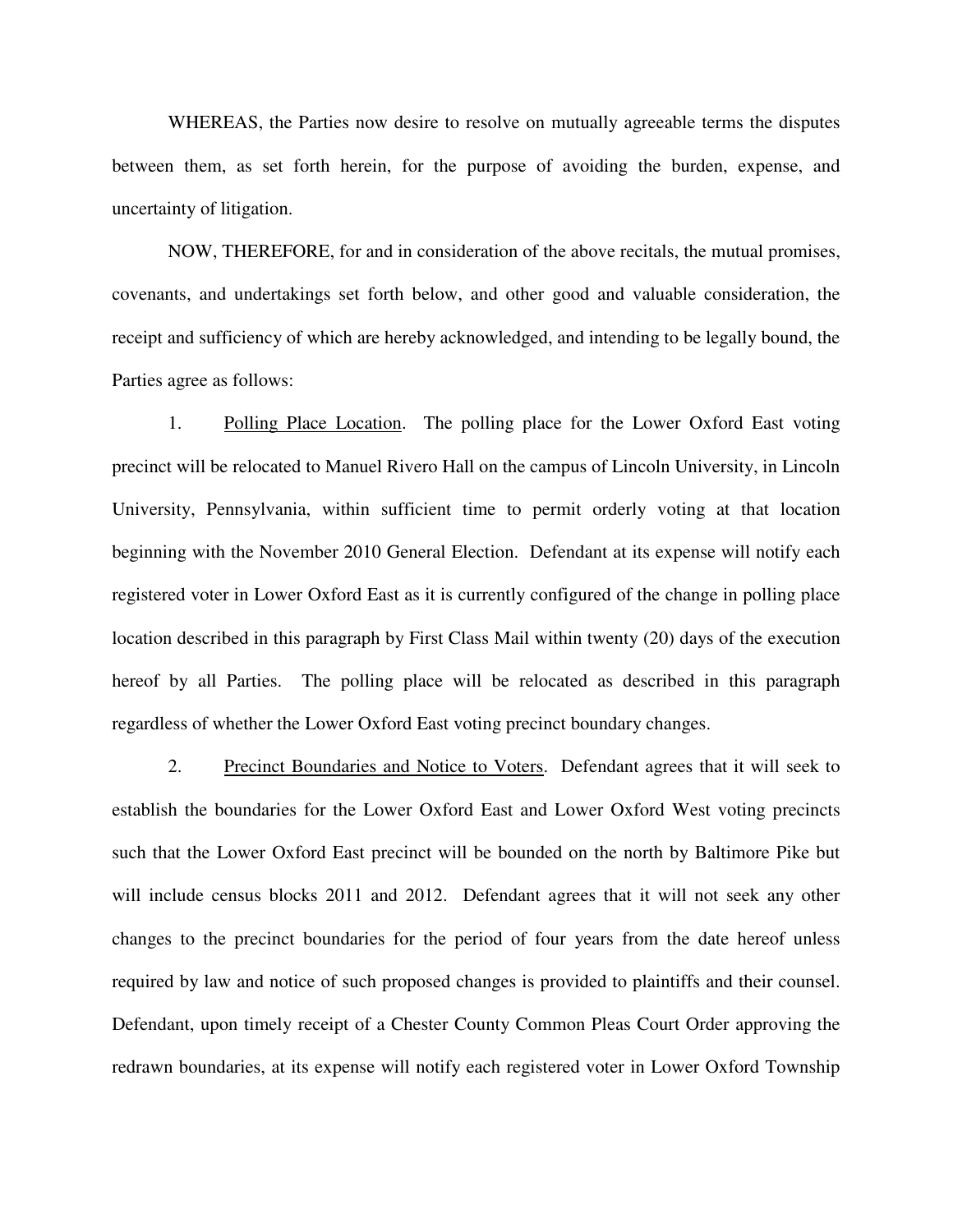WHEREAS, the Parties now desire to resolve on mutually agreeable terms the disputes between them, as set forth herein, for the purpose of avoiding the burden, expense, and uncertainty of litigation.

NOW, THEREFORE, for and in consideration of the above recitals, the mutual promises, covenants, and undertakings set forth below, and other good and valuable consideration, the receipt and sufficiency of which are hereby acknowledged, and intending to be legally bound, the Parties agree as follows:

1. Polling Place Location. The polling place for the Lower Oxford East voting precinct will be relocated to Manuel Rivero Hall on the campus of Lincoln University, in Lincoln University, Pennsylvania, within sufficient time to permit orderly voting at that location beginning with the November 2010 General Election. Defendant at its expense will notify each registered voter in Lower Oxford East as it is currently configured of the change in polling place location described in this paragraph by First Class Mail within twenty (20) days of the execution hereof by all Parties. The polling place will be relocated as described in this paragraph regardless of whether the Lower Oxford East voting precinct boundary changes.

2. Precinct Boundaries and Notice to Voters. Defendant agrees that it will seek to establish the boundaries for the Lower Oxford East and Lower Oxford West voting precincts such that the Lower Oxford East precinct will be bounded on the north by Baltimore Pike but will include census blocks 2011 and 2012. Defendant agrees that it will not seek any other changes to the precinct boundaries for the period of four years from the date hereof unless required by law and notice of such proposed changes is provided to plaintiffs and their counsel. Defendant, upon timely receipt of a Chester County Common Pleas Court Order approving the redrawn boundaries, at its expense will notify each registered voter in Lower Oxford Township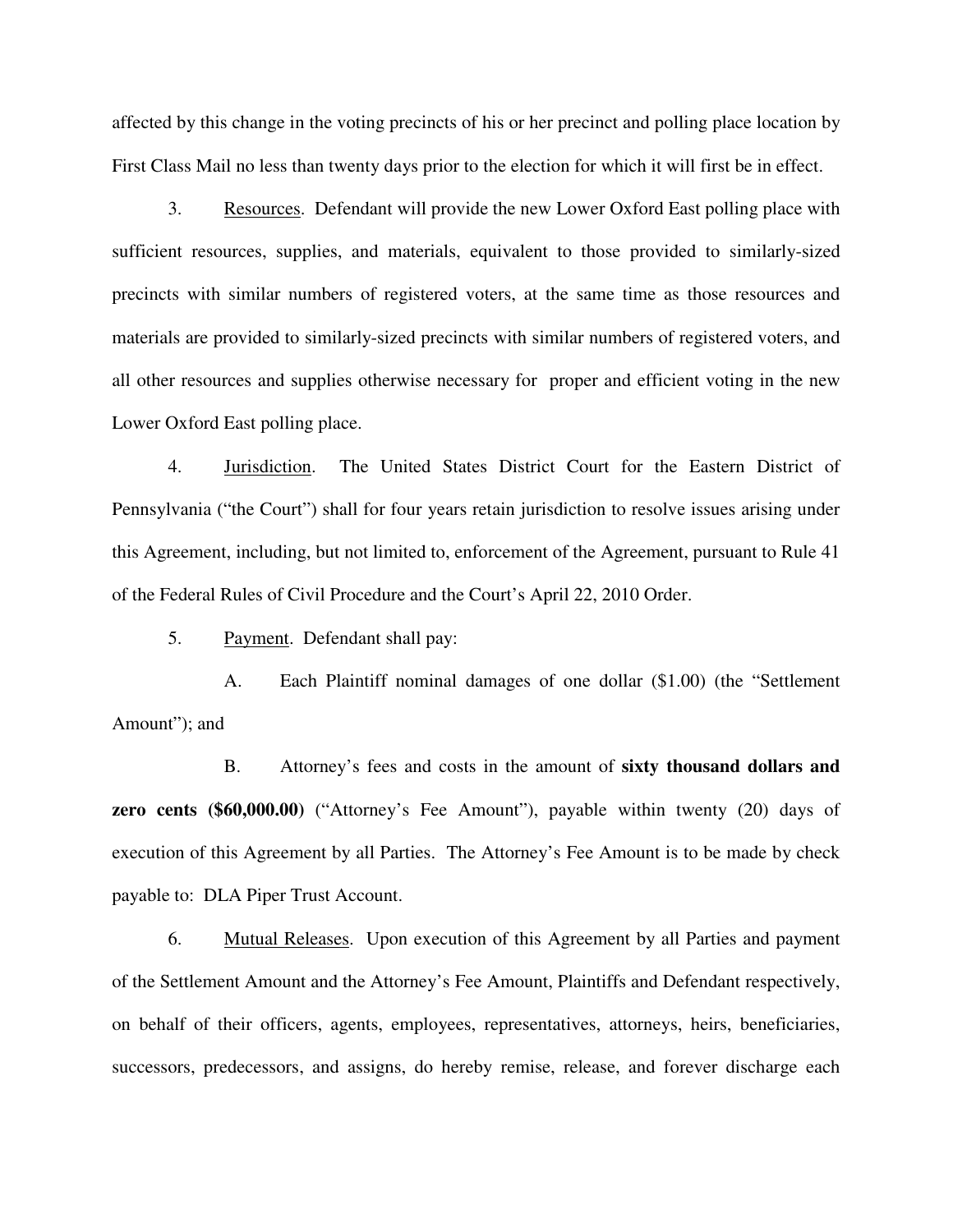affected by this change in the voting precincts of his or her precinct and polling place location by First Class Mail no less than twenty days prior to the election for which it will first be in effect.

3. Resources. Defendant will provide the new Lower Oxford East polling place with sufficient resources, supplies, and materials, equivalent to those provided to similarly-sized precincts with similar numbers of registered voters, at the same time as those resources and materials are provided to similarly-sized precincts with similar numbers of registered voters, and all other resources and supplies otherwise necessary for proper and efficient voting in the new Lower Oxford East polling place.

4. Jurisdiction. The United States District Court for the Eastern District of Pennsylvania ("the Court") shall for four years retain jurisdiction to resolve issues arising under this Agreement, including, but not limited to, enforcement of the Agreement, pursuant to Rule 41 of the Federal Rules of Civil Procedure and the Court's April 22, 2010 Order.

5. Payment. Defendant shall pay:

 A. Each Plaintiff nominal damages of one dollar (\$1.00) (the "Settlement Amount"); and

 B. Attorney's fees and costs in the amount of **sixty thousand dollars and zero cents (\$60,000.00)** ("Attorney's Fee Amount"), payable within twenty (20) days of execution of this Agreement by all Parties. The Attorney's Fee Amount is to be made by check payable to: DLA Piper Trust Account.

6. Mutual Releases. Upon execution of this Agreement by all Parties and payment of the Settlement Amount and the Attorney's Fee Amount, Plaintiffs and Defendant respectively, on behalf of their officers, agents, employees, representatives, attorneys, heirs, beneficiaries, successors, predecessors, and assigns, do hereby remise, release, and forever discharge each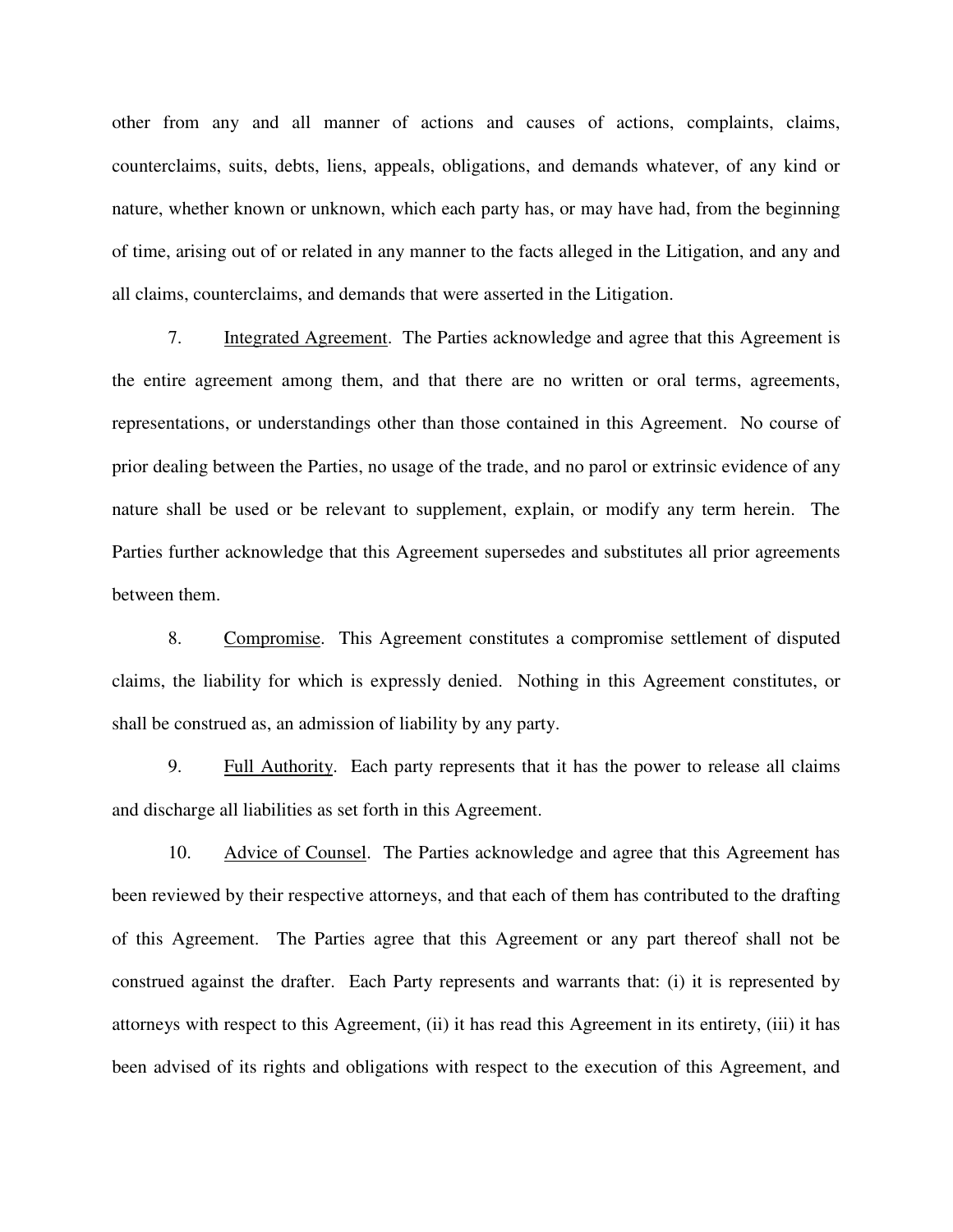other from any and all manner of actions and causes of actions, complaints, claims, counterclaims, suits, debts, liens, appeals, obligations, and demands whatever, of any kind or nature, whether known or unknown, which each party has, or may have had, from the beginning of time, arising out of or related in any manner to the facts alleged in the Litigation, and any and all claims, counterclaims, and demands that were asserted in the Litigation.

7. Integrated Agreement. The Parties acknowledge and agree that this Agreement is the entire agreement among them, and that there are no written or oral terms, agreements, representations, or understandings other than those contained in this Agreement. No course of prior dealing between the Parties, no usage of the trade, and no parol or extrinsic evidence of any nature shall be used or be relevant to supplement, explain, or modify any term herein. The Parties further acknowledge that this Agreement supersedes and substitutes all prior agreements between them.

8. Compromise. This Agreement constitutes a compromise settlement of disputed claims, the liability for which is expressly denied. Nothing in this Agreement constitutes, or shall be construed as, an admission of liability by any party.

9. Full Authority. Each party represents that it has the power to release all claims and discharge all liabilities as set forth in this Agreement.

10. Advice of Counsel. The Parties acknowledge and agree that this Agreement has been reviewed by their respective attorneys, and that each of them has contributed to the drafting of this Agreement. The Parties agree that this Agreement or any part thereof shall not be construed against the drafter. Each Party represents and warrants that: (i) it is represented by attorneys with respect to this Agreement, (ii) it has read this Agreement in its entirety, (iii) it has been advised of its rights and obligations with respect to the execution of this Agreement, and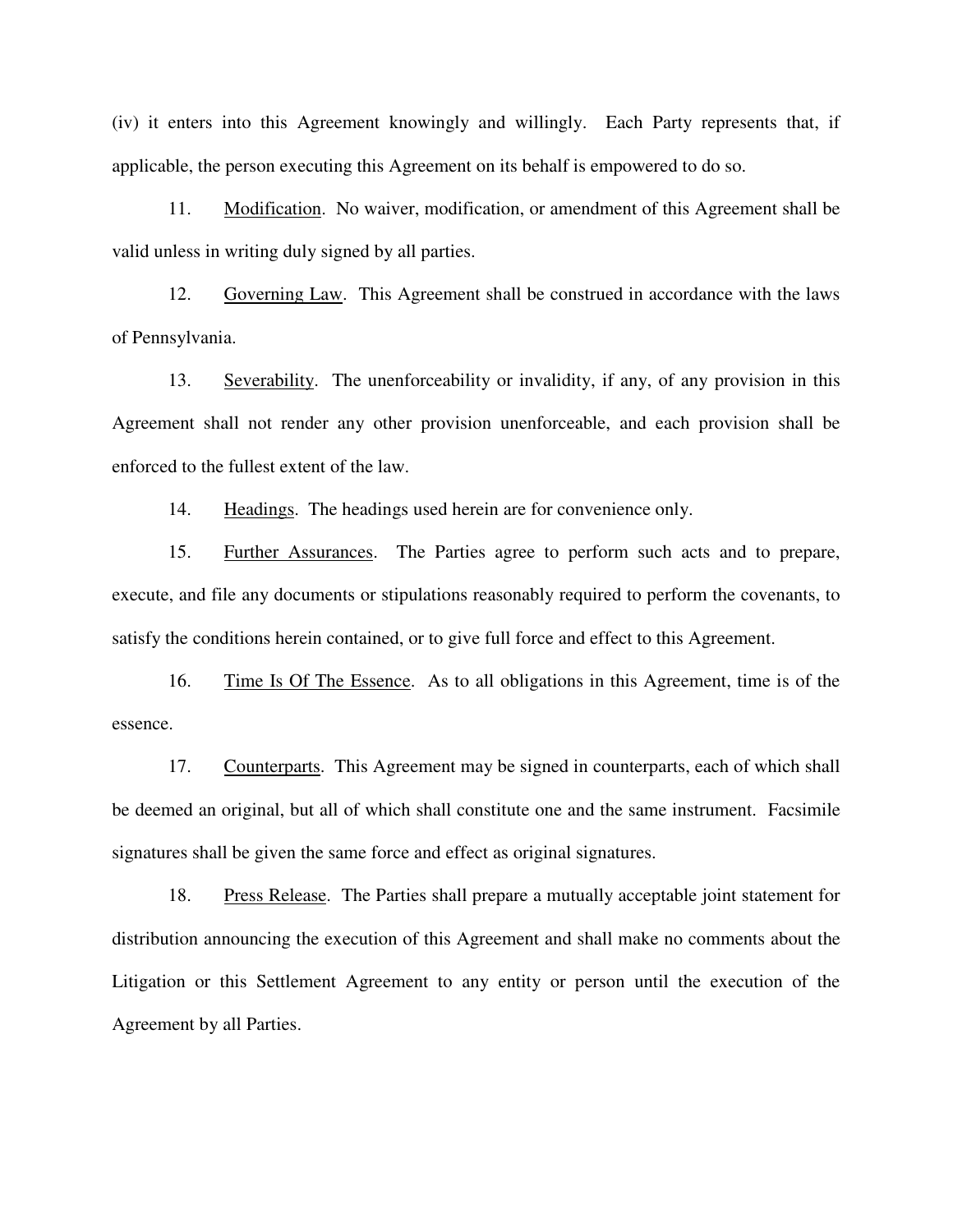(iv) it enters into this Agreement knowingly and willingly. Each Party represents that, if applicable, the person executing this Agreement on its behalf is empowered to do so.

11. Modification. No waiver, modification, or amendment of this Agreement shall be valid unless in writing duly signed by all parties.

12. Governing Law. This Agreement shall be construed in accordance with the laws of Pennsylvania.

13. Severability. The unenforceability or invalidity, if any, of any provision in this Agreement shall not render any other provision unenforceable, and each provision shall be enforced to the fullest extent of the law.

14. Headings. The headings used herein are for convenience only.

15. Further Assurances. The Parties agree to perform such acts and to prepare, execute, and file any documents or stipulations reasonably required to perform the covenants, to satisfy the conditions herein contained, or to give full force and effect to this Agreement.

16. Time Is Of The Essence. As to all obligations in this Agreement, time is of the essence.

17. Counterparts. This Agreement may be signed in counterparts, each of which shall be deemed an original, but all of which shall constitute one and the same instrument. Facsimile signatures shall be given the same force and effect as original signatures.

18. Press Release. The Parties shall prepare a mutually acceptable joint statement for distribution announcing the execution of this Agreement and shall make no comments about the Litigation or this Settlement Agreement to any entity or person until the execution of the Agreement by all Parties.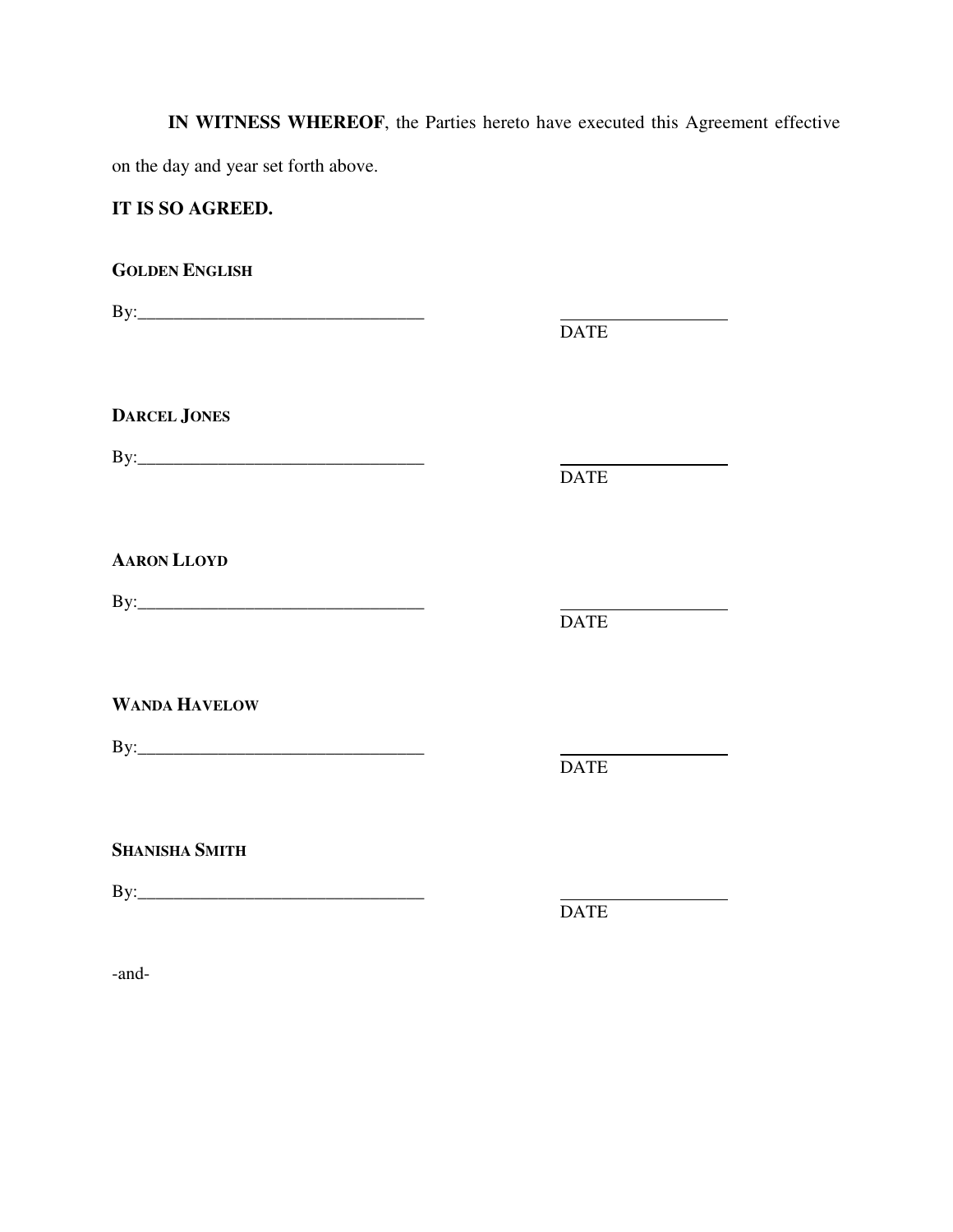**IN WITNESS WHEREOF**, the Parties hereto have executed this Agreement effective on the day and year set forth above.

## **IT IS SO AGREED.**

**GOLDEN ENGLISH** By:\_\_\_\_\_\_\_\_\_\_\_\_\_\_\_\_\_\_\_\_\_\_\_\_\_\_\_\_\_\_\_\_ <u> 1989 - Johann Barnett, fransk konge</u> DATE **DARCEL JONES** By:\_\_\_\_\_\_\_\_\_\_\_\_\_\_\_\_\_\_\_\_\_\_\_\_\_\_\_\_\_\_\_\_ DATE **AARON LLOYD** By:\_\_\_\_\_\_\_\_\_\_\_\_\_\_\_\_\_\_\_\_\_\_\_\_\_\_\_\_\_\_\_\_ DATE **WANDA HAVELOW** By:\_\_\_\_\_\_\_\_\_\_\_\_\_\_\_\_\_\_\_\_\_\_\_\_\_\_\_\_\_\_\_\_ DATE **SHANISHA SMITH** By:\_\_\_\_\_\_\_\_\_\_\_\_\_\_\_\_\_\_\_\_\_\_\_\_\_\_\_\_\_\_\_\_ DATE

-and-